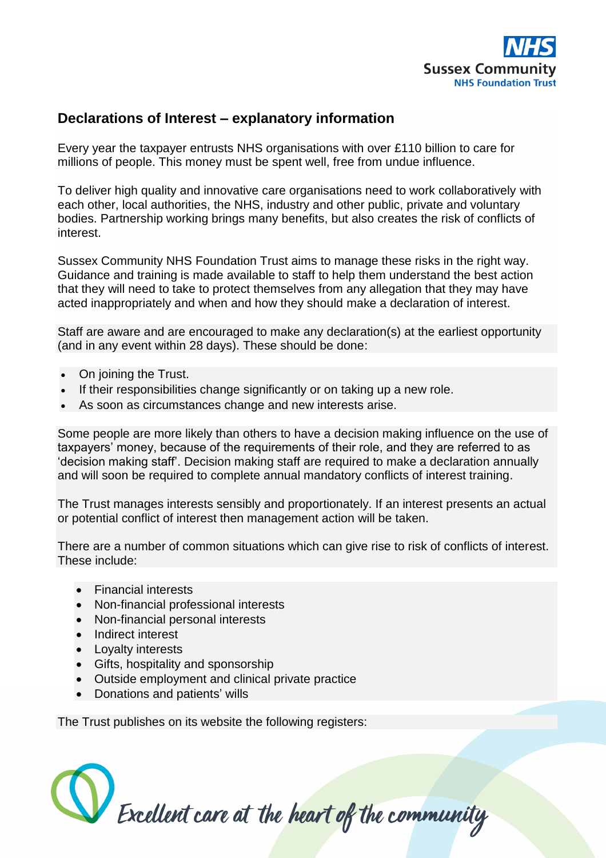

## **Declarations of Interest – explanatory information**

Every year the taxpayer entrusts NHS organisations with over £110 billion to care for millions of people. This money must be spent well, free from undue influence.

To deliver high quality and innovative care organisations need to work collaboratively with each other, local authorities, the NHS, industry and other public, private and voluntary bodies. Partnership working brings many benefits, but also creates the risk of conflicts of interest.

Sussex Community NHS Foundation Trust aims to manage these risks in the right way. Guidance and training is made available to staff to help them understand the best action that they will need to take to protect themselves from any allegation that they may have acted inappropriately and when and how they should make a declaration of interest.

Staff are aware and are encouraged to make any declaration(s) at the earliest opportunity (and in any event within 28 days). These should be done:

- On joining the Trust.
- If their responsibilities change significantly or on taking up a new role.
- As soon as circumstances change and new interests arise.

Some people are more likely than others to have a decision making influence on the use of taxpayers' money, because of the requirements of their role, and they are referred to as 'decision making staff'. Decision making staff are required to make a declaration annually and will soon be required to complete annual mandatory conflicts of interest training.

The Trust manages interests sensibly and proportionately. If an interest presents an actual or potential conflict of interest then management action will be taken.

There are a number of common situations which can give rise to risk of conflicts of interest. These include:

- Financial interests
- Non-financial professional interests
- Non-financial personal interests
- Indirect interest
- Loyalty interests
- Gifts, hospitality and sponsorship
- Outside employment and clinical private practice
- Donations and patients' wills

The Trust publishes on its website the following registers: